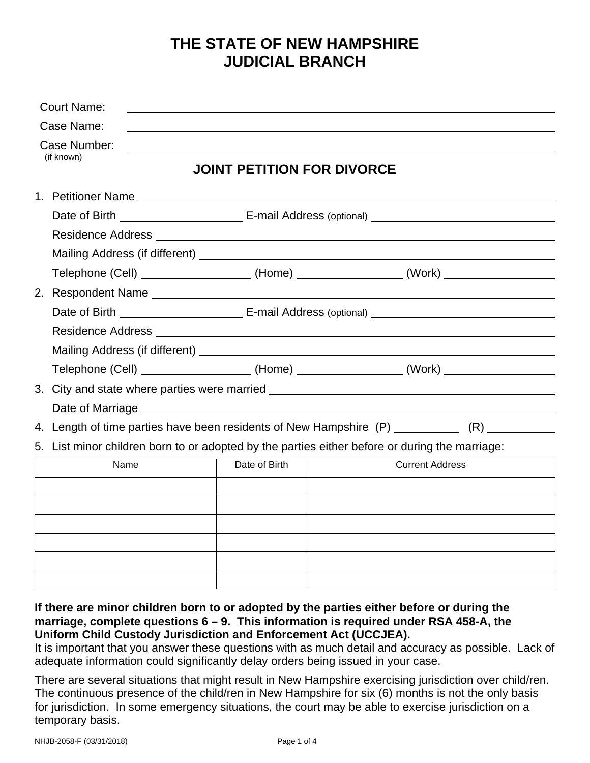## **THE STATE OF NEW HAMPSHIRE JUDICIAL BRANCH**

| <b>Court Name:</b>         |                                   |                                                                                                |
|----------------------------|-----------------------------------|------------------------------------------------------------------------------------------------|
| Case Name:                 |                                   |                                                                                                |
| Case Number:<br>(if known) | <b>JOINT PETITION FOR DIVORCE</b> |                                                                                                |
|                            |                                   |                                                                                                |
|                            |                                   |                                                                                                |
|                            |                                   |                                                                                                |
|                            |                                   |                                                                                                |
|                            |                                   | Telephone (Cell) __________________(Home) _______________(Work) ________________               |
|                            | 2. Respondent Name                |                                                                                                |
|                            |                                   |                                                                                                |
|                            |                                   |                                                                                                |
|                            |                                   |                                                                                                |
|                            |                                   | Telephone (Cell) __________________(Home) _______________(Work) ________________               |
|                            |                                   | 3. City and state where parties were married ___________________________________               |
|                            |                                   |                                                                                                |
|                            |                                   | 4. Length of time parties have been residents of New Hampshire (P) ____________ (R) __________ |
|                            |                                   | 5. List minor children born to or adopted by the parties either before or during the marriage: |
| Name                       | Date of Birth                     | <b>Current Address</b>                                                                         |
|                            |                                   |                                                                                                |
|                            |                                   |                                                                                                |
|                            |                                   |                                                                                                |
|                            |                                   |                                                                                                |
|                            |                                   |                                                                                                |
|                            |                                   |                                                                                                |

## **If there are minor children born to or adopted by the parties either before or during the marriage, complete questions 6 – 9. This information is required under RSA 458-A, the Uniform Child Custody Jurisdiction and Enforcement Act (UCCJEA).**

It is important that you answer these questions with as much detail and accuracy as possible. Lack of adequate information could significantly delay orders being issued in your case.

There are several situations that might result in New Hampshire exercising jurisdiction over child/ren. The continuous presence of the child/ren in New Hampshire for six (6) months is not the only basis for jurisdiction. In some emergency situations, the court may be able to exercise jurisdiction on a temporary basis.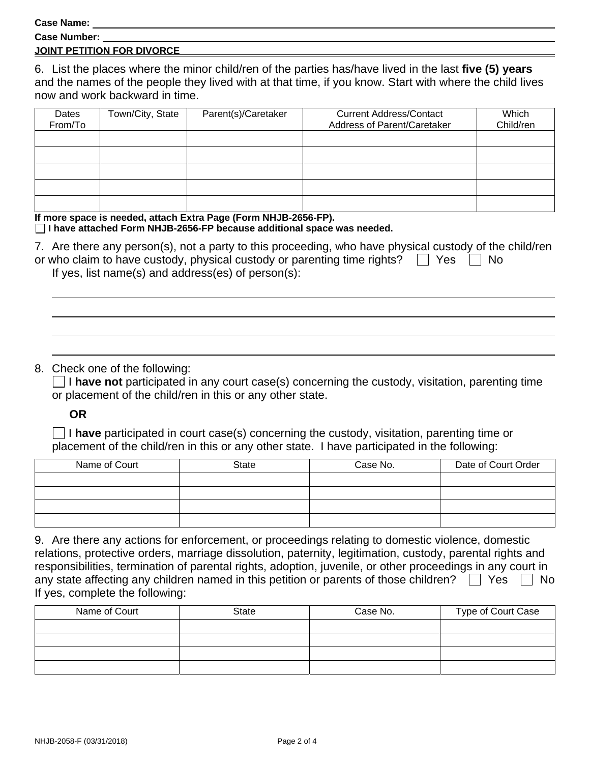**Case Name:** 

| --------------      |  |
|---------------------|--|
| <b>Case Number:</b> |  |
|                     |  |

## **JOINT PETITION FOR DIVORCE**

6. List the places where the minor child/ren of the parties has/have lived in the last **five (5) years** and the names of the people they lived with at that time, if you know. Start with where the child lives now and work backward in time.

| Dates<br>From/To | Town/City, State | Parent(s)/Caretaker | <b>Current Address/Contact</b><br>Address of Parent/Caretaker | Which<br>Child/ren |
|------------------|------------------|---------------------|---------------------------------------------------------------|--------------------|
|                  |                  |                     |                                                               |                    |
|                  |                  |                     |                                                               |                    |
|                  |                  |                     |                                                               |                    |
|                  |                  |                     |                                                               |                    |
|                  |                  |                     |                                                               |                    |

**If more space is needed, attach Extra Page (Form NHJB-2656-FP). I have attached Form NHJB-2656-FP because additional space was needed.** 

| 7. Are there any person(s), not a party to this proceeding, who have physical custody of the child/ren |  |
|--------------------------------------------------------------------------------------------------------|--|
| or who claim to have custody, physical custody or parenting time rights? $\Box$ Yes $\Box$ No          |  |
| If yes, list name(s) and address(es) of $person(s)$ :                                                  |  |

## 8. Check one of the following:

 $\Box$  I have not participated in any court case(s) concerning the custody, visitation, parenting time or placement of the child/ren in this or any other state.

**OR**

 I **have** participated in court case(s) concerning the custody, visitation, parenting time or placement of the child/ren in this or any other state. I have participated in the following:

| Name of Court | State | Case No. | Date of Court Order |
|---------------|-------|----------|---------------------|
|               |       |          |                     |
|               |       |          |                     |
|               |       |          |                     |
|               |       |          |                     |

| 9. Are there any actions for enforcement, or proceedings relating to domestic violence, domestic           |
|------------------------------------------------------------------------------------------------------------|
| relations, protective orders, marriage dissolution, paternity, legitimation, custody, parental rights and  |
| responsibilities, termination of parental rights, adoption, juvenile, or other proceedings in any court in |
| any state affecting any children named in this petition or parents of those children? $\Box$ Yes<br>∣ I No |
| If yes, complete the following:                                                                            |

| Name of Court | <b>State</b> | Case No. | Type of Court Case |
|---------------|--------------|----------|--------------------|
|               |              |          |                    |
|               |              |          |                    |
|               |              |          |                    |
|               |              |          |                    |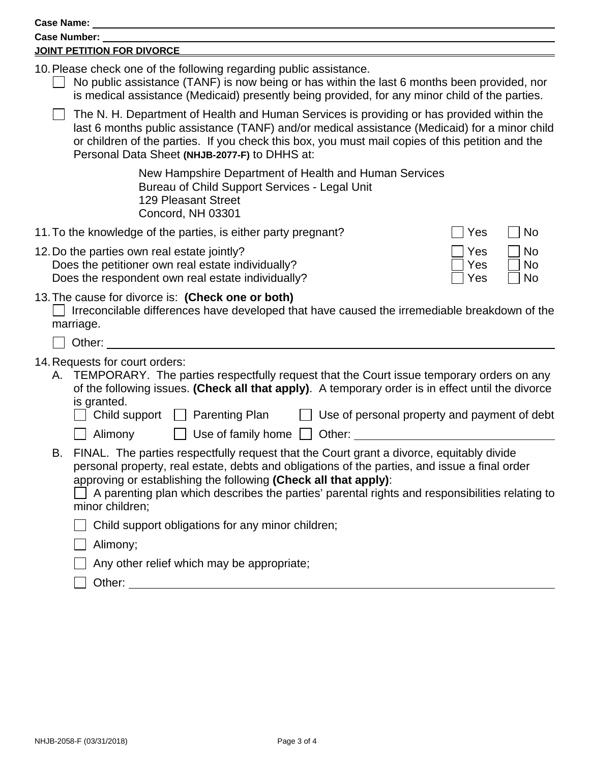| <b>Case Name:</b>                                                                                                                                                                                                                                                                                                                                                                             |
|-----------------------------------------------------------------------------------------------------------------------------------------------------------------------------------------------------------------------------------------------------------------------------------------------------------------------------------------------------------------------------------------------|
| Case Number:                                                                                                                                                                                                                                                                                                                                                                                  |
| <b>JOINT PETITION FOR DIVORCE</b>                                                                                                                                                                                                                                                                                                                                                             |
| 10. Please check one of the following regarding public assistance.<br>No public assistance (TANF) is now being or has within the last 6 months been provided, nor<br>is medical assistance (Medicaid) presently being provided, for any minor child of the parties.                                                                                                                           |
| The N. H. Department of Health and Human Services is providing or has provided within the<br>last 6 months public assistance (TANF) and/or medical assistance (Medicaid) for a minor child<br>or children of the parties. If you check this box, you must mail copies of this petition and the<br>Personal Data Sheet (NHJB-2077-F) to DHHS at:                                               |
| New Hampshire Department of Health and Human Services<br>Bureau of Child Support Services - Legal Unit<br><b>129 Pleasant Street</b><br>Concord, NH 03301                                                                                                                                                                                                                                     |
| 11. To the knowledge of the parties, is either party pregnant?<br><b>No</b><br>Yes                                                                                                                                                                                                                                                                                                            |
| 12. Do the parties own real estate jointly?<br><b>No</b><br>Yes<br>Does the petitioner own real estate individually?<br><b>No</b><br>Yes<br>Does the respondent own real estate individually?<br>No<br>Yes                                                                                                                                                                                    |
| 13. The cause for divorce is: (Check one or both)<br>Irreconcilable differences have developed that have caused the irremediable breakdown of the<br>marriage.<br>Other:                                                                                                                                                                                                                      |
|                                                                                                                                                                                                                                                                                                                                                                                               |
| 14. Requests for court orders:<br>A. TEMPORARY. The parties respectfully request that the Court issue temporary orders on any<br>of the following issues. (Check all that apply). A temporary order is in effect until the divorce<br>is granted.<br>Child support<br><b>Parenting Plan</b><br>Use of personal property and payment of debt<br>Alimony<br>Use of family home $\Box$<br>Other: |
| FINAL. The parties respectfully request that the Court grant a divorce, equitably divide<br>В.<br>personal property, real estate, debts and obligations of the parties, and issue a final order<br>approving or establishing the following (Check all that apply):<br>A parenting plan which describes the parties' parental rights and responsibilities relating to<br>minor children;       |
| Child support obligations for any minor children;                                                                                                                                                                                                                                                                                                                                             |
| Alimony;                                                                                                                                                                                                                                                                                                                                                                                      |
| Any other relief which may be appropriate;                                                                                                                                                                                                                                                                                                                                                    |
| Other: the contract of the contract of the contract of the contract of the contract of the contract of the contract of the contract of the contract of the contract of the contract of the contract of the contract of the con                                                                                                                                                                |
|                                                                                                                                                                                                                                                                                                                                                                                               |